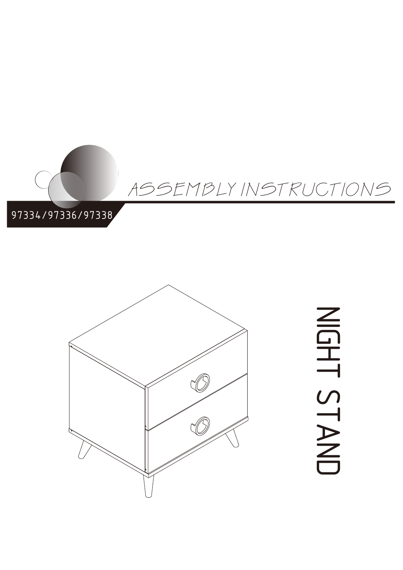



NIG エ<br>い<br>い  $\overline{\phantom{0}}$  $\blacktriangleright$  $\overline{\mathbb{Z}}$  $\Box$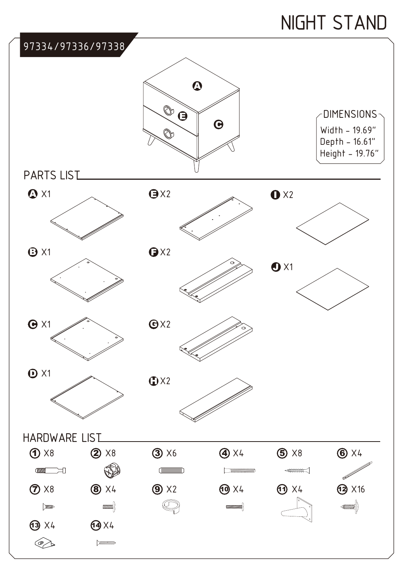# NIGHT STAND

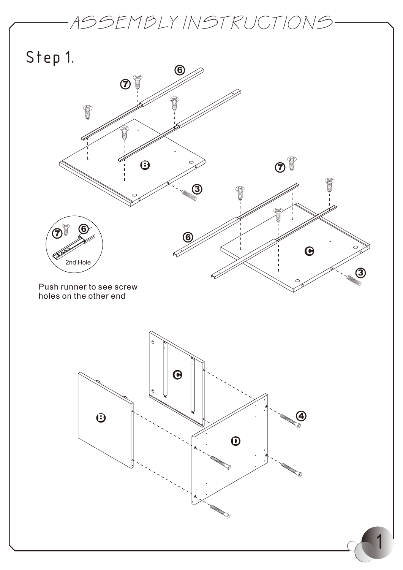

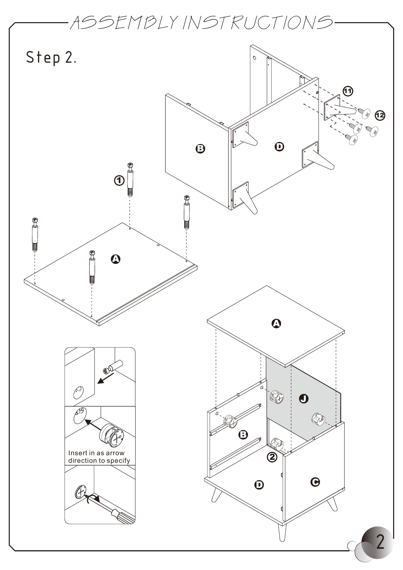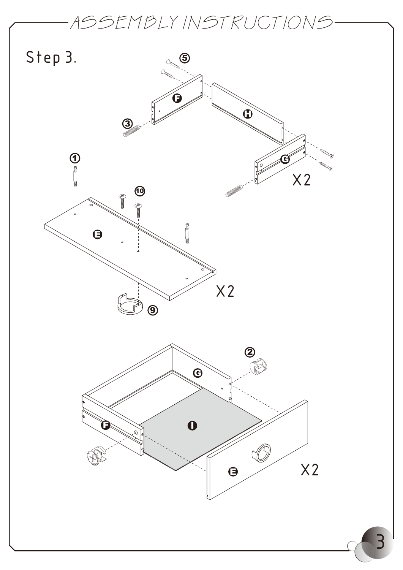